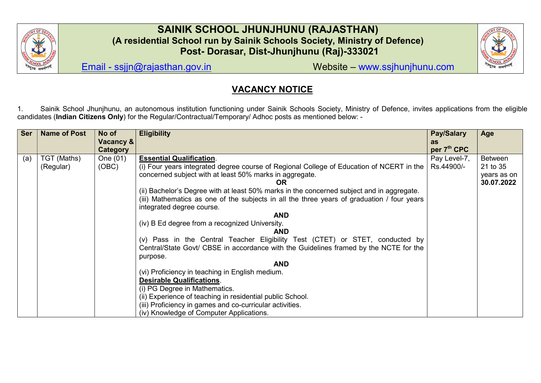

## SAINIK SCHOOL JHUNJHUNU (RAJASTHAN) (A residential School run by Sainik Schools Society, Ministry of Defence) Post- Dorasar, Dist-Jhunjhunu (Raj)-333021



Email - ssjjn@rajasthan.gov.in Website – www.ssjhunjhunu.com

# VACANCY NOTICE

1. Sainik School Jhunjhunu, an autonomous institution functioning under Sainik Schools Society, Ministry of Defence, invites applications from the eligible candidates (Indian Citizens Only) for the Regular/Contractual/Temporary/ Adhoc posts as mentioned below: -

| <b>Ser</b> | <b>Name of Post</b>      | No of             | <b>Eligibility</b>                                                                                                                                                                                                                                                                                                                                                                                                                                                                                                                                                                                                                                                           | <b>Pay/Salary</b>          | Age                                                     |
|------------|--------------------------|-------------------|------------------------------------------------------------------------------------------------------------------------------------------------------------------------------------------------------------------------------------------------------------------------------------------------------------------------------------------------------------------------------------------------------------------------------------------------------------------------------------------------------------------------------------------------------------------------------------------------------------------------------------------------------------------------------|----------------------------|---------------------------------------------------------|
|            |                          | Vacancy &         |                                                                                                                                                                                                                                                                                                                                                                                                                                                                                                                                                                                                                                                                              | as                         |                                                         |
|            |                          | <b>Category</b>   |                                                                                                                                                                                                                                                                                                                                                                                                                                                                                                                                                                                                                                                                              | per 7 <sup>th</sup> CPC    |                                                         |
| (a)        | TGT (Maths)<br>(Regular) | One (01)<br>(OBC) | <b>Essential Qualification.</b><br>(i) Four years integrated degree course of Regional College of Education of NCERT in the<br>concerned subject with at least 50% marks in aggregate.<br>OR<br>(ii) Bachelor's Degree with at least 50% marks in the concerned subject and in aggregate.<br>(iii) Mathematics as one of the subjects in all the three years of graduation / four years<br>integrated degree course.<br><b>AND</b><br>(iv) B Ed degree from a recognized University.<br><b>AND</b><br>(v) Pass in the Central Teacher Eligibility Test (CTET) or STET, conducted by<br>Central/State Govt/ CBSE in accordance with the Guidelines framed by the NCTE for the | Pay Level-7,<br>Rs.44900/- | <b>Between</b><br>21 to 35<br>years as on<br>30.07.2022 |
|            |                          |                   | purpose.<br><b>AND</b><br>(vi) Proficiency in teaching in English medium.<br><b>Desirable Qualifications.</b><br>(i) PG Degree in Mathematics.<br>(ii) Experience of teaching in residential public School.<br>(iii) Proficiency in games and co-curricular activities.<br>(iv) Knowledge of Computer Applications.                                                                                                                                                                                                                                                                                                                                                          |                            |                                                         |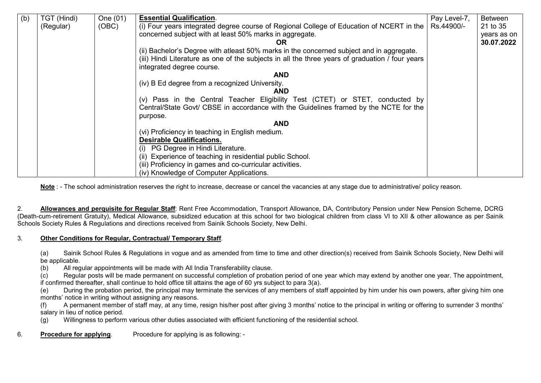| (b) | TGT (Hindi) | One (01) | <b>Essential Qualification.</b>                                                                                                                                        | Pay Level-7, | <b>Between</b> |
|-----|-------------|----------|------------------------------------------------------------------------------------------------------------------------------------------------------------------------|--------------|----------------|
|     | (Regular)   | (OBC)    | (i) Four years integrated degree course of Regional College of Education of NCERT in the                                                                               | Rs.44900/-   | 21 to 35       |
|     |             |          | concerned subject with at least 50% marks in aggregate.                                                                                                                |              | years as on    |
|     |             |          | OR                                                                                                                                                                     |              | 30.07.2022     |
|     |             |          | (ii) Bachelor's Degree with at least 50% marks in the concerned subject and in aggregate.                                                                              |              |                |
|     |             |          | (iii) Hindi Literature as one of the subjects in all the three years of graduation / four years                                                                        |              |                |
|     |             |          | integrated degree course.                                                                                                                                              |              |                |
|     |             |          | <b>AND</b>                                                                                                                                                             |              |                |
|     |             |          | (iv) B Ed degree from a recognized University.                                                                                                                         |              |                |
|     |             |          | <b>AND</b>                                                                                                                                                             |              |                |
|     |             |          | (v) Pass in the Central Teacher Eligibility Test (CTET) or STET, conducted by<br>Central/State Govt/ CBSE in accordance with the Guidelines framed by the NCTE for the |              |                |
|     |             |          | purpose.                                                                                                                                                               |              |                |
|     |             |          | <b>AND</b>                                                                                                                                                             |              |                |
|     |             |          | (vi) Proficiency in teaching in English medium.                                                                                                                        |              |                |
|     |             |          | <b>Desirable Qualifications.</b>                                                                                                                                       |              |                |
|     |             |          | PG Degree in Hindi Literature.<br>(i)                                                                                                                                  |              |                |
|     |             |          | (ii) Experience of teaching in residential public School.                                                                                                              |              |                |
|     |             |          | (iii) Proficiency in games and co-curricular activities.                                                                                                               |              |                |
|     |             |          | (iv) Knowledge of Computer Applications.                                                                                                                               |              |                |

Note : - The school administration reserves the right to increase, decrease or cancel the vacancies at any stage due to administrative/ policy reason.

2. **Allowances and perquisite for Regular Staff:** Rent Free Accommodation, Transport Allowance, DA, Contributory Pension under New Pension Scheme, DCRG (Death-cum-retirement Gratuity), Medical Allowance, subsidized education at this school for two biological children from class VI to XII & other allowance as per Sainik Schools Society Rules & Regulations and directions received from Sainik Schools Society, New Delhi.

#### 3. Other Conditions for Regular, Contractual/ Temporary Staff.

(a) Sainik School Rules & Regulations in vogue and as amended from time to time and other direction(s) received from Sainik Schools Society, New Delhi will be applicable.

(b) All regular appointments will be made with All India Transferability clause.

(c) Regular posts will be made permanent on successful completion of probation period of one year which may extend by another one year. The appointment, if confirmed thereafter, shall continue to hold office till attains the age of 60 yrs subject to para 3(a).

(e) During the probation period, the principal may terminate the services of any members of staff appointed by him under his own powers, after giving him one months' notice in writing without assigning any reasons.

(f) A permanent member of staff may, at any time, resign his/her post after giving 3 months' notice to the principal in writing or offering to surrender 3 months' salary in lieu of notice period.

(g) Willingness to perform various other duties associated with efficient functioning of the residential school.

6. Procedure for applying. Procedure for applying is as following: -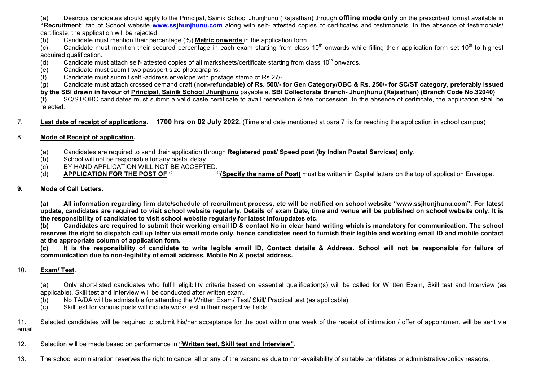(a) Desirous candidates should apply to the Principal, Sainik School Jhunjhunu (Rajasthan) through **offline mode only** on the prescribed format available in "Recruitment" tab of School website www.ssihunihunu.com along with self- attested copies of certificates and testimonials. In the absence of testimonials/ certificate, the application will be rejected.

(b) Candidate must mention their percentage (%) Matric onwards in the application form.

 $\overline{c}$  Candidate must mention their secured percentage in each exam starting from class 10<sup>th</sup> onwards while filling their application form set 10<sup>th</sup> to highest acquired qualification.

(d) Candidate must attach self- attested copies of all marksheets/certificate starting from class  $10^{th}$  onwards.

(e) Candidate must submit two passport size photographs.

(f) Candidate must submit self -address envelope with postage stamp of Rs.27/-.

(g) Candidate must attach crossed demand draft (non-refundable) of Rs. 500/- for Gen Category/OBC & Rs. 250/- for SC/ST category, preferably issued by the SBI drawn in favour of Principal, Sainik School Jhunihunu payable at SBI Collectorate Branch- Jhunihunu (Rajasthan) (Branch Code No.32040). (f) SC/ST/OBC candidates must submit a valid caste certificate to avail reservation & fee concession. In the absence of certificate, the application shall be

rejected.

7. Last date of receipt of applications. 1700 hrs on 02 July 2022. (Time and date mentioned at para 7 is for reaching the application in school campus)

#### 8. Mode of Receipt of application.

- (a) Candidates are required to send their application through Registered post/ Speed post (by Indian Postal Services) only.
- (b) School will not be responsible for any postal delay.
- (c) BY HAND APPLICATION WILL NOT BE ACCEPTED.
- (d) APPLICATION FOR THE POST OF " "(Specify the name of Post) must be written in Capital letters on the top of application Envelope.

### 9. Mode of Call Letters.

(a) All information regarding firm date/schedule of recruitment process, etc will be notified on school website "www.ssjhunjhunu.com". For latest update, candidates are required to visit school website regularly. Details of exam Date, time and venue will be published on school website only. It is the responsibility of candidates to visit school website regularly for latest info/updates etc.

(b) Candidates are required to submit their working email ID & contact No in clear hand writing which is mandatory for communication. The school reserves the right to dispatch call up letter via email mode only, hence candidates need to furnish their legible and working email ID and mobile contact at the appropriate column of application form.

(c) It is the responsibility of candidate to write legible email ID, Contact details & Address. School will not be responsible for failure of communication due to non-legibility of email address, Mobile No & postal address.

#### 10. Exam/ Test.

(a) Only short-listed candidates who fulfill eligibility criteria based on essential qualification(s) will be called for Written Exam, Skill test and Interview (as applicable). Skill test and Interview will be conducted after written exam.

(b) No TA/DA will be admissible for attending the Written Exam/ Test/ Skill/ Practical test (as applicable).

(c) Skill test for various posts will include work/ test in their respective fields.

11. Selected candidates will be required to submit his/her acceptance for the post within one week of the receipt of intimation / offer of appointment will be sent via email.

12. Selection will be made based on performance in "Written test, Skill test and Interview".

13. The school administration reserves the right to cancel all or any of the vacancies due to non-availability of suitable candidates or administrative/policy reasons.